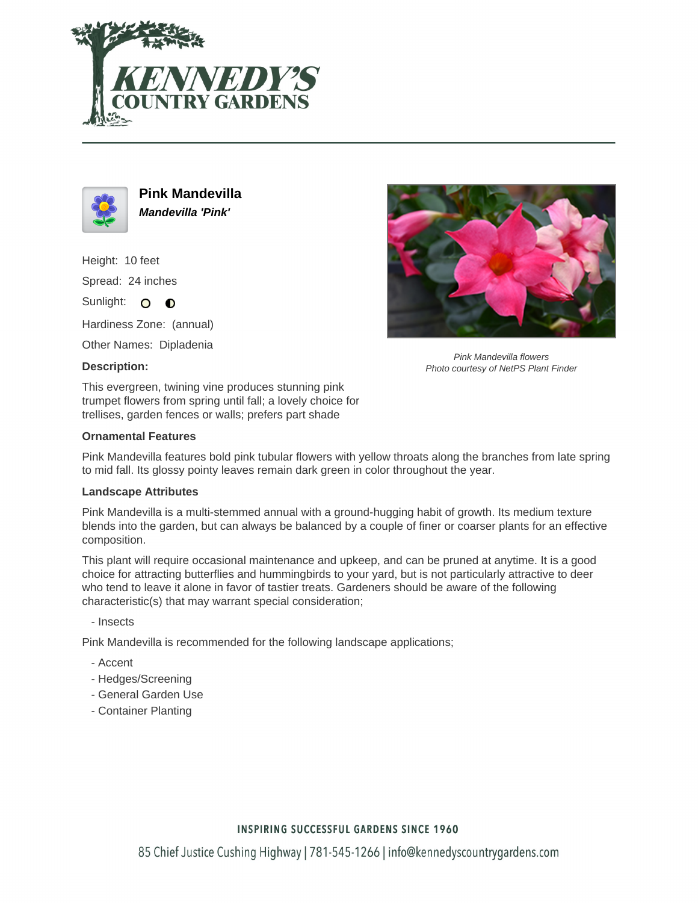



**Pink Mandevilla Mandevilla 'Pink'**

Height: 10 feet Spread: 24 inches Sunlight: O **O** 

Hardiness Zone: (annual)

Other Names: Dipladenia

## **Description:**

This evergreen, twining vine produces stunning pink trumpet flowers from spring until fall; a lovely choice for trellises, garden fences or walls; prefers part shade

#### **Ornamental Features**



#### **Landscape Attributes**

Pink Mandevilla is a multi-stemmed annual with a ground-hugging habit of growth. Its medium texture blends into the garden, but can always be balanced by a couple of finer or coarser plants for an effective composition.

This plant will require occasional maintenance and upkeep, and can be pruned at anytime. It is a good choice for attracting butterflies and hummingbirds to your yard, but is not particularly attractive to deer who tend to leave it alone in favor of tastier treats. Gardeners should be aware of the following characteristic(s) that may warrant special consideration;

- Insects

Pink Mandevilla is recommended for the following landscape applications;

- Accent
- Hedges/Screening
- General Garden Use
- Container Planting



Pink Mandevilla flowers Photo courtesy of NetPS Plant Finder

## **INSPIRING SUCCESSFUL GARDENS SINCE 1960**